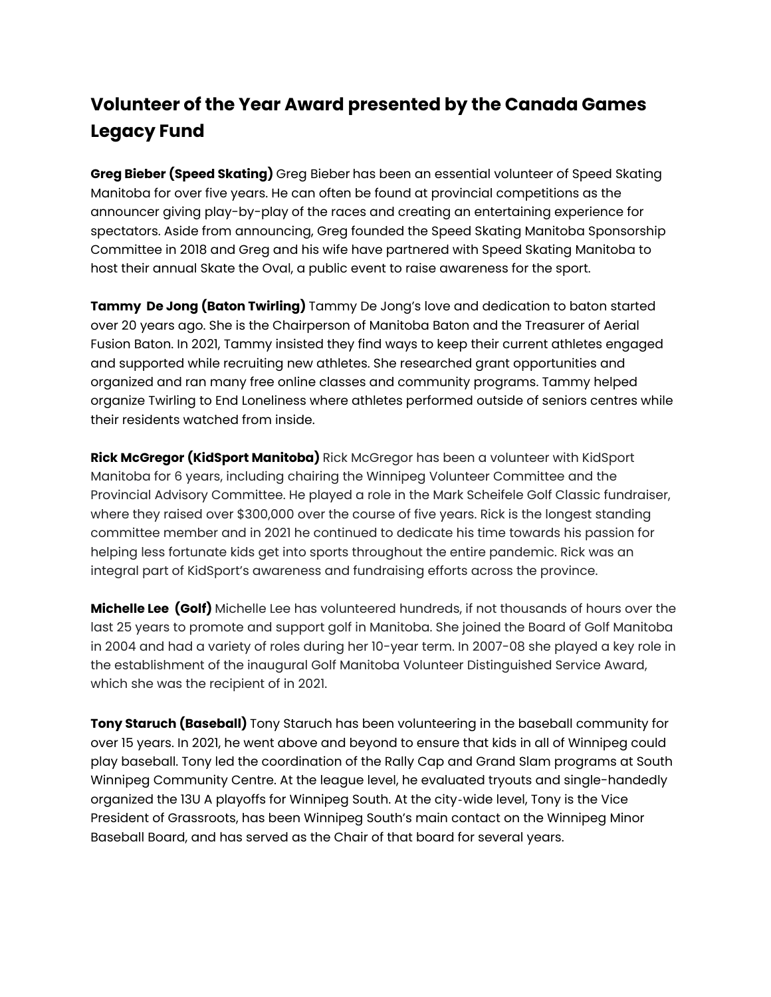# **Volunteer of the Year Award presented by the Canada Games Legacy Fund**

**Greg Bieber (Speed Skating)** Greg Bieber has been an essential volunteer of Speed Skating Manitoba for over five years. He can often be found at provincial competitions as the announcer giving play-by-play of the races and creating an entertaining experience for spectators. Aside from announcing, Greg founded the Speed Skating Manitoba Sponsorship Committee in 2018 and Greg and his wife have partnered with Speed Skating Manitoba to host their annual Skate the Oval, a public event to raise awareness for the sport.

**Tammy De Jong (Baton Twirling)** Tammy De Jong's love and dedication to baton started over 20 years ago. She is the Chairperson of Manitoba Baton and the Treasurer of Aerial Fusion Baton. In 2021, Tammy insisted they find ways to keep their current athletes engaged and supported while recruiting new athletes. She researched grant opportunities and organized and ran many free online classes and community programs. Tammy helped organize Twirling to End Loneliness where athletes performed outside of seniors centres while their residents watched from inside.

**Rick McGregor (KidSport Manitoba)** Rick McGregor has been a volunteer with KidSport Manitoba for 6 years, including chairing the Winnipeg Volunteer Committee and the Provincial Advisory Committee. He played a role in the Mark Scheifele Golf Classic fundraiser, where they raised over \$300,000 over the course of five years. Rick is the longest standing committee member and in 2021 he continued to dedicate his time towards his passion for helping less fortunate kids get into sports throughout the entire pandemic. Rick was an integral part of KidSport's awareness and fundraising efforts across the province.

**Michelle Lee (Golf)** Michelle Lee has volunteered hundreds, if not thousands of hours over the last 25 years to promote and support golf in Manitoba. She joined the Board of Golf Manitoba in 2004 and had a variety of roles during her 10-year term. In 2007-08 she played a key role in the establishment of the inaugural Golf Manitoba Volunteer Distinguished Service Award, which she was the recipient of in 2021.

**Tony Staruch (Baseball)** Tony Staruch has been volunteering in the baseball community for over 15 years. In 2021, he went above and beyond to ensure that kids in all of Winnipeg could play baseball. Tony led the coordination of the Rally Cap and Grand Slam programs at South Winnipeg Community Centre. At the league level, he evaluated tryouts and single-handedly organized the 13U A playoffs for Winnipeg South. At the city‐wide level, Tony is the Vice President of Grassroots, has been Winnipeg South's main contact on the Winnipeg Minor Baseball Board, and has served as the Chair of that board for several years.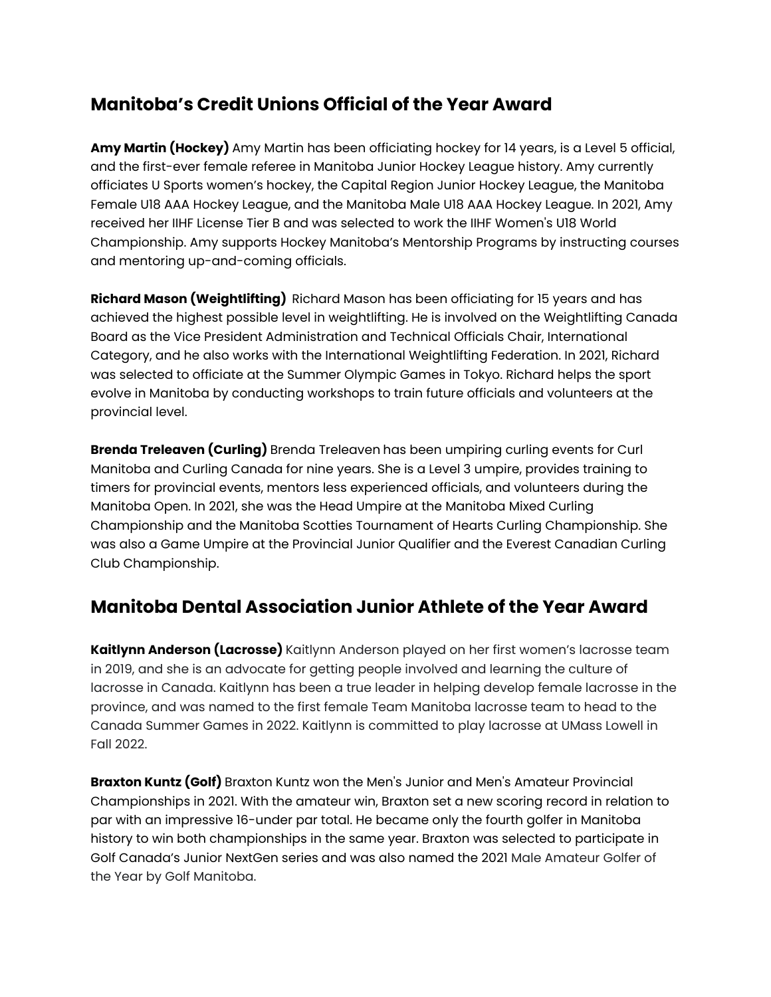# **Manitoba's Credit Unions Official of the Year Award**

**Amy Martin (Hockey)** Amy Martin has been officiating hockey for 14 years, is a Level 5 official, and the first-ever female referee in Manitoba Junior Hockey League history. Amy currently officiates U Sports women's hockey, the Capital Region Junior Hockey League, the Manitoba Female U18 AAA Hockey League, and the Manitoba Male U18 AAA Hockey League. In 2021, Amy received her IIHF License Tier B and was selected to work the IIHF Women's U18 World Championship. Amy supports Hockey Manitoba's Mentorship Programs by instructing courses and mentoring up-and-coming officials.

**Richard Mason (Weightlifting)** Richard Mason has been officiating for 15 years and has achieved the highest possible level in weightlifting. He is involved on the Weightlifting Canada Board as the Vice President Administration and Technical Officials Chair, International Category, and he also works with the International Weightlifting Federation. In 2021, Richard was selected to officiate at the Summer Olympic Games in Tokyo. Richard helps the sport evolve in Manitoba by conducting workshops to train future officials and volunteers at the provincial level.

**Brenda Treleaven (Curling)** Brenda Treleaven has been umpiring curling events for Curl Manitoba and Curling Canada for nine years. She is a Level 3 umpire, provides training to timers for provincial events, mentors less experienced officials, and volunteers during the Manitoba Open. In 2021, she was the Head Umpire at the Manitoba Mixed Curling Championship and the Manitoba Scotties Tournament of Hearts Curling Championship. She was also a Game Umpire at the Provincial Junior Qualifier and the Everest Canadian Curling Club Championship.

# **Manitoba Dental Association Junior Athlete of the Year Award**

**Kaitlynn Anderson (Lacrosse)** Kaitlynn Anderson played on her first women's lacrosse team in 2019, and she is an advocate for getting people involved and learning the culture of lacrosse in Canada. Kaitlynn has been a true leader in helping develop female lacrosse in the province, and was named to the first female Team Manitoba lacrosse team to head to the Canada Summer Games in 2022. Kaitlynn is committed to play lacrosse at UMass Lowell in Fall 2022.

**Braxton Kuntz (Golf)** Braxton Kuntz won the Men's Junior and Men's Amateur Provincial Championships in 2021. With the amateur win, Braxton set a new scoring record in relation to par with an impressive 16-under par total. He became only the fourth golfer in Manitoba history to win both championships in the same year. Braxton was selected to participate in Golf Canada's Junior NextGen series and was also named the 2021 Male Amateur Golfer of the Year by Golf Manitoba.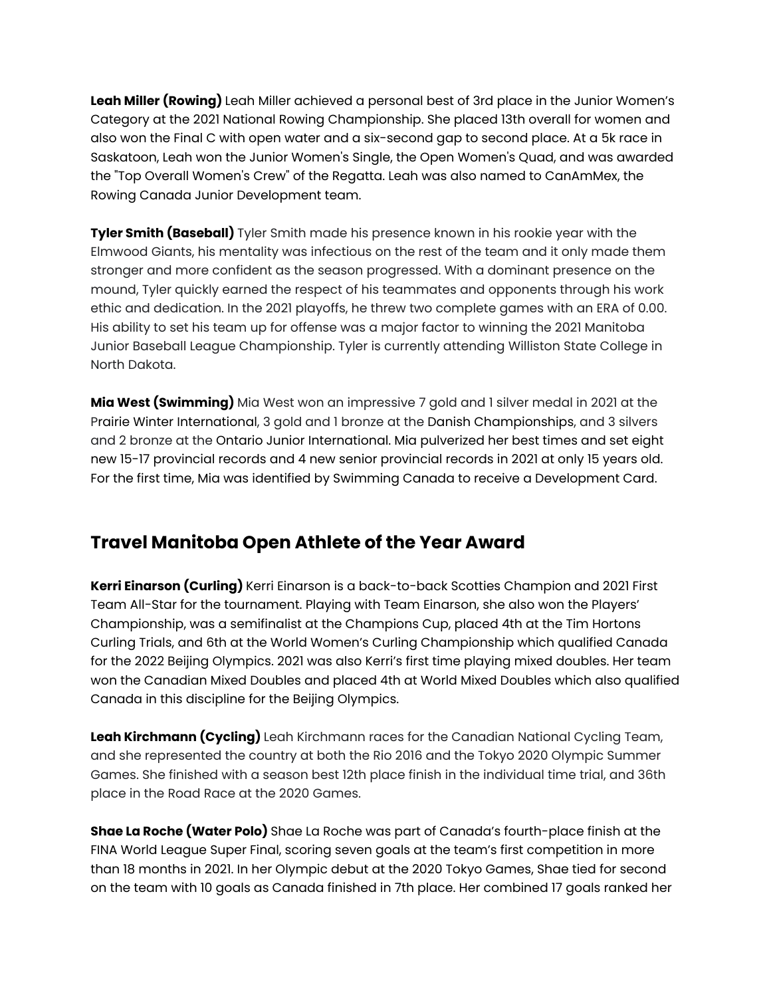**Leah Miller (Rowing)** Leah Miller achieved a personal best of 3rd place in the Junior Women's Category at the 2021 National Rowing Championship. She placed 13th overall for women and also won the Final C with open water and a six-second gap to second place. At a 5k race in Saskatoon, Leah won the Junior Women's Single, the Open Women's Quad, and was awarded the "Top Overall Women's Crew" of the Regatta. Leah was also named to CanAmMex, the Rowing Canada Junior Development team.

**Tyler Smith (Baseball)** Tyler Smith made his presence known in his rookie year with the Elmwood Giants, his mentality was infectious on the rest of the team and it only made them stronger and more confident as the season progressed. With a dominant presence on the mound, Tyler quickly earned the respect of his teammates and opponents through his work ethic and dedication. In the 2021 playoffs, he threw two complete games with an ERA of 0.00. His ability to set his team up for offense was a major factor to winning the 2021 Manitoba Junior Baseball League Championship. Tyler is currently attending Williston State College in North Dakota.

**Mia West (Swimming)** Mia West won an impressive 7 gold and 1 silver medal in 2021 at the Prairie Winter International, 3 gold and 1 bronze at the Danish Championships, and 3 silvers and 2 bronze at the Ontario Junior International. Mia pulverized her best times and set eight new 15-17 provincial records and 4 new senior provincial records in 2021 at only 15 years old. For the first time, Mia was identified by Swimming Canada to receive a Development Card.

# **Travel Manitoba Open Athlete of the Year Award**

**Kerri Einarson (Curling)** Kerri Einarson is a back-to-back Scotties Champion and 2021 First Team All-Star for the tournament. Playing with Team Einarson, she also won the Players' Championship, was a semifinalist at the Champions Cup, placed 4th at the Tim Hortons Curling Trials, and 6th at the World Women's Curling Championship which qualified Canada for the 2022 Beijing Olympics. 2021 was also Kerri's first time playing mixed doubles. Her team won the Canadian Mixed Doubles and placed 4th at World Mixed Doubles which also qualified Canada in this discipline for the Beijing Olympics.

**Leah Kirchmann (Cycling)** Leah Kirchmann races for the Canadian National Cycling Team, and she represented the country at both the Rio 2016 and the Tokyo 2020 Olympic Summer Games. She finished with a season best 12th place finish in the individual time trial, and 36th place in the Road Race at the 2020 Games.

**Shae La Roche (Water Polo)** Shae La Roche was part of Canada's fourth-place finish at the FINA World League Super Final, scoring seven goals at the team's first competition in more than 18 months in 2021. In her Olympic debut at the 2020 Tokyo Games, Shae tied for second on the team with 10 goals as Canada finished in 7th place. Her combined 17 goals ranked her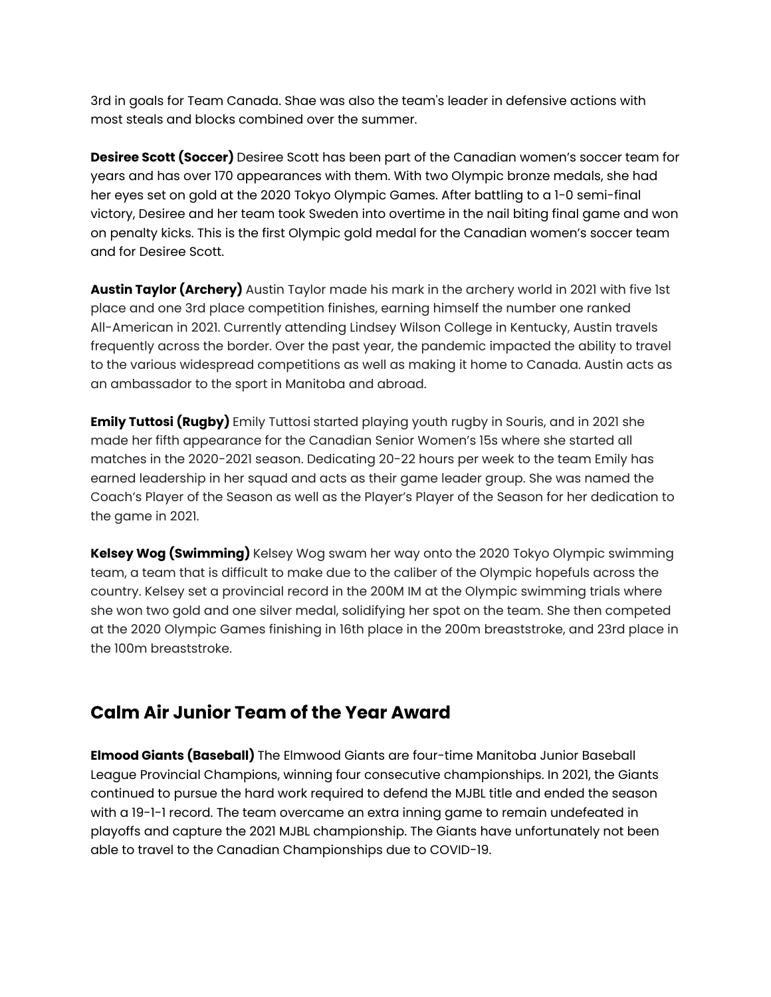3rd in goals for Team Canada. Shae was also the team's leader in defensive actions with most steals and blocks combined over the summer.

**Desiree Scott (Soccer)** Desiree Scott has been part of the Canadian women's soccer team for years and has over 170 appearances with them. With two Olympic bronze medals, she had her eyes set on gold at the 2020 Tokyo Olympic Games. After battling to a 1-0 semi-final victory, Desiree and her team took Sweden into overtime in the nail biting final game and won on penalty kicks. This is the first Olympic gold medal for the Canadian women's soccer team and for Desiree Scott.

**Austin Taylor (Archery)** Austin Taylor made his mark in the archery world in 2021 with five 1st place and one 3rd place competition finishes, earning himself the number one ranked All-American in 2021. Currently attending Lindsey Wilson College in Kentucky, Austin travels frequently across the border. Over the past year, the pandemic impacted the ability to travel to the various widespread competitions as well as making it home to Canada. Austin acts as an ambassador to the sport in Manitoba and abroad.

**Emily Tuttosi (Rugby)** Emily Tuttosi started playing youth rugby in Souris, and in 2021 she made her fifth appearance for the Canadian Senior Women's 15s where she started all matches in the 2020-2021 season. Dedicating 20-22 hours per week to the team Emily has earned leadership in her squad and acts as their game leader group. She was named the Coach's Player of the Season as well as the Player's Player of the Season for her dedication to the game in 2021.

**Kelsey Wog (Swimming)** Kelsey Wog swam her way onto the 2020 Tokyo Olympic swimming team, a team that is difficult to make due to the caliber of the Olympic hopefuls across the country. Kelsey set a provincial record in the 200M IM at the Olympic swimming trials where she won two gold and one silver medal, solidifying her spot on the team. She then competed at the 2020 Olympic Games finishing in 16th place in the 200m breaststroke, and 23rd place in the 100m breaststroke.

# **Calm Air Junior Team of the Year Award**

**Elmood Giants (Baseball)** The Elmwood Giants are four-time Manitoba Junior Baseball League Provincial Champions, winning four consecutive championships. In 2021, the Giants continued to pursue the hard work required to defend the MJBL title and ended the season with a 19-1-1 record. The team overcame an extra inning game to remain undefeated in playoffs and capture the 2021 MJBL championship. The Giants have unfortunately not been able to travel to the Canadian Championships due to COVID-19.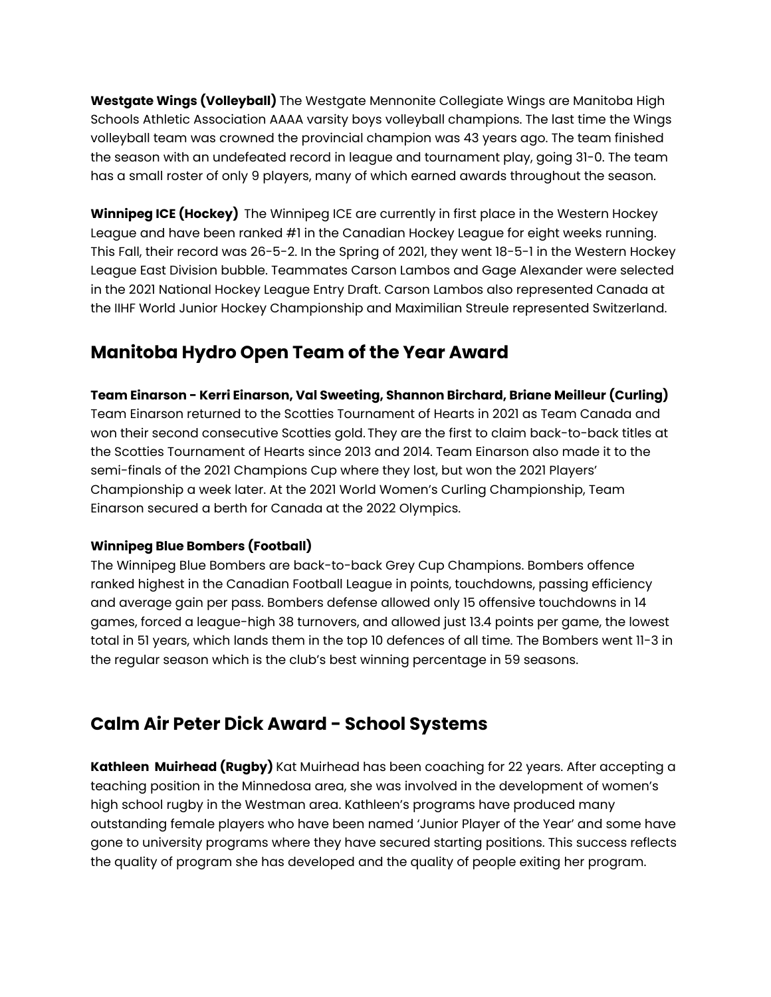**Westgate Wings (Volleyball)** The Westgate Mennonite Collegiate Wings are Manitoba High Schools Athletic Association AAAA varsity boys volleyball champions. The last time the Wings volleyball team was crowned the provincial champion was 43 years ago. The team finished the season with an undefeated record in league and tournament play, going 31-0. The team has a small roster of only 9 players, many of which earned awards throughout the season.

**Winnipeg ICE (Hockey)** The Winnipeg ICE are currently in first place in the Western Hockey League and have been ranked #1 in the Canadian Hockey League for eight weeks running. This Fall, their record was 26-5-2. In the Spring of 2021, they went 18-5-1 in the Western Hockey League East Division bubble. Teammates Carson Lambos and Gage Alexander were selected in the 2021 National Hockey League Entry Draft. Carson Lambos also represented Canada at the IIHF World Junior Hockey Championship and Maximilian Streule represented Switzerland.

# **Manitoba Hydro Open Team of the Year Award**

**Team Einarson - Kerri Einarson, Val Sweeting, Shannon Birchard, Briane Meilleur (Curling)** Team Einarson returned to the Scotties Tournament of Hearts in 2021 as Team Canada and won their second consecutive Scotties gold. They are the first to claim back-to-back titles at the Scotties Tournament of Hearts since 2013 and 2014. Team Einarson also made it to the semi-finals of the 2021 Champions Cup where they lost, but won the 2021 Players' Championship a week later. At the 2021 World Women's Curling Championship, Team Einarson secured a berth for Canada at the 2022 Olympics.

### **Winnipeg Blue Bombers (Football)**

The Winnipeg Blue Bombers are back-to-back Grey Cup Champions. Bombers offence ranked highest in the Canadian Football League in points, touchdowns, passing efficiency and average gain per pass. Bombers defense allowed only 15 offensive touchdowns in 14 games, forced a league-high 38 turnovers, and allowed just 13.4 points per game, the lowest total in 51 years, which lands them in the top 10 defences of all time. The Bombers went 11-3 in the regular season which is the club's best winning percentage in 59 seasons.

### **Calm Air Peter Dick Award - School Systems**

**Kathleen Muirhead (Rugby)** Kat Muirhead has been coaching for 22 years. After accepting a teaching position in the Minnedosa area, she was involved in the development of women's high school rugby in the Westman area. Kathleen's programs have produced many outstanding female players who have been named 'Junior Player of the Year' and some have gone to university programs where they have secured starting positions. This success reflects the quality of program she has developed and the quality of people exiting her program.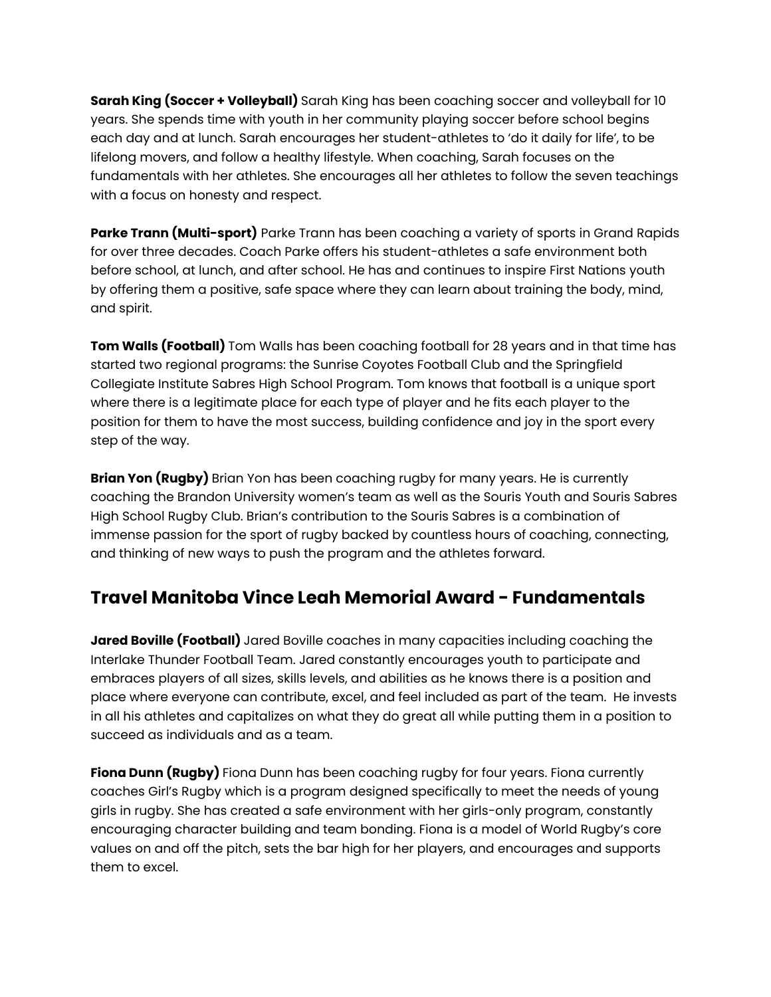**Sarah King (Soccer + Volleyball)** Sarah King has been coaching soccer and volleyball for 10 years. She spends time with youth in her community playing soccer before school begins each day and at lunch. Sarah encourages her student-athletes to 'do it daily for life', to be lifelong movers, and follow a healthy lifestyle. When coaching, Sarah focuses on the fundamentals with her athletes. She encourages all her athletes to follow the seven teachings with a focus on honesty and respect.

**Parke Trann (Multi-sport)** Parke Trann has been coaching a variety of sports in Grand Rapids for over three decades. Coach Parke offers his student-athletes a safe environment both before school, at lunch, and after school. He has and continues to inspire First Nations youth by offering them a positive, safe space where they can learn about training the body, mind, and spirit.

**Tom Walls (Football)** Tom Walls has been coaching football for 28 years and in that time has started two regional programs: the Sunrise Coyotes Football Club and the Springfield Collegiate Institute Sabres High School Program. Tom knows that football is a unique sport where there is a legitimate place for each type of player and he fits each player to the position for them to have the most success, building confidence and joy in the sport every step of the way.

**Brian Yon (Rugby)** Brian Yon has been coaching rugby for many years. He is currently coaching the Brandon University women's team as well as the Souris Youth and Souris Sabres High School Rugby Club. Brian's contribution to the Souris Sabres is a combination of immense passion for the sport of rugby backed by countless hours of coaching, connecting, and thinking of new ways to push the program and the athletes forward.

# **Travel Manitoba Vince Leah Memorial Award - Fundamentals**

**Jared Boville (Football)** Jared Boville coaches in many capacities including coaching the Interlake Thunder Football Team. Jared constantly encourages youth to participate and embraces players of all sizes, skills levels, and abilities as he knows there is a position and place where everyone can contribute, excel, and feel included as part of the team. He invests in all his athletes and capitalizes on what they do great all while putting them in a position to succeed as individuals and as a team.

**Fiona Dunn (Rugby)** Fiona Dunn has been coaching rugby for four years. Fiona currently coaches Girl's Rugby which is a program designed specifically to meet the needs of young girls in rugby. She has created a safe environment with her girls-only program, constantly encouraging character building and team bonding. Fiona is a model of World Rugby's core values on and off the pitch, sets the bar high for her players, and encourages and supports them to excel.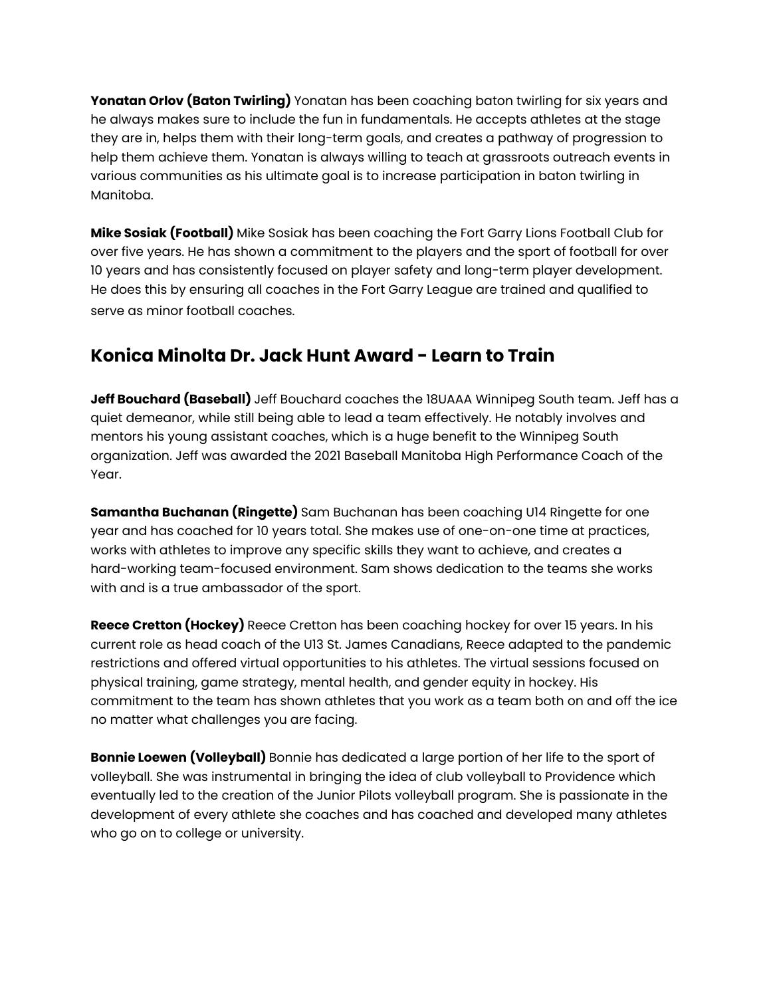**Yonatan Orlov (Baton Twirling)** Yonatan has been coaching baton twirling for six years and he always makes sure to include the fun in fundamentals. He accepts athletes at the stage they are in, helps them with their long-term goals, and creates a pathway of progression to help them achieve them. Yonatan is always willing to teach at grassroots outreach events in various communities as his ultimate goal is to increase participation in baton twirling in Manitoba.

**Mike Sosiak (Football)** Mike Sosiak has been coaching the Fort Garry Lions Football Club for over five years. He has shown a commitment to the players and the sport of football for over 10 years and has consistently focused on player safety and long-term player development. He does this by ensuring all coaches in the Fort Garry League are trained and qualified to serve as minor football coaches.

# **Konica Minolta Dr. Jack Hunt Award - Learn to Train**

**Jeff Bouchard (Baseball)** Jeff Bouchard coaches the 18UAAA Winnipeg South team. Jeff has a quiet demeanor, while still being able to lead a team effectively. He notably involves and mentors his young assistant coaches, which is a huge benefit to the Winnipeg South organization. Jeff was awarded the 2021 Baseball Manitoba High Performance Coach of the Year.

**Samantha Buchanan (Ringette)** Sam Buchanan has been coaching U14 Ringette for one year and has coached for 10 years total. She makes use of one-on-one time at practices, works with athletes to improve any specific skills they want to achieve, and creates a hard-working team-focused environment. Sam shows dedication to the teams she works with and is a true ambassador of the sport.

**Reece Cretton (Hockey)** Reece Cretton has been coaching hockey for over 15 years. In his current role as head coach of the U13 St. James Canadians, Reece adapted to the pandemic restrictions and offered virtual opportunities to his athletes. The virtual sessions focused on physical training, game strategy, mental health, and gender equity in hockey. His commitment to the team has shown athletes that you work as a team both on and off the ice no matter what challenges you are facing.

**Bonnie Loewen (Volleyball)** Bonnie has dedicated a large portion of her life to the sport of volleyball. She was instrumental in bringing the idea of club volleyball to Providence which eventually led to the creation of the Junior Pilots volleyball program. She is passionate in the development of every athlete she coaches and has coached and developed many athletes who go on to college or university.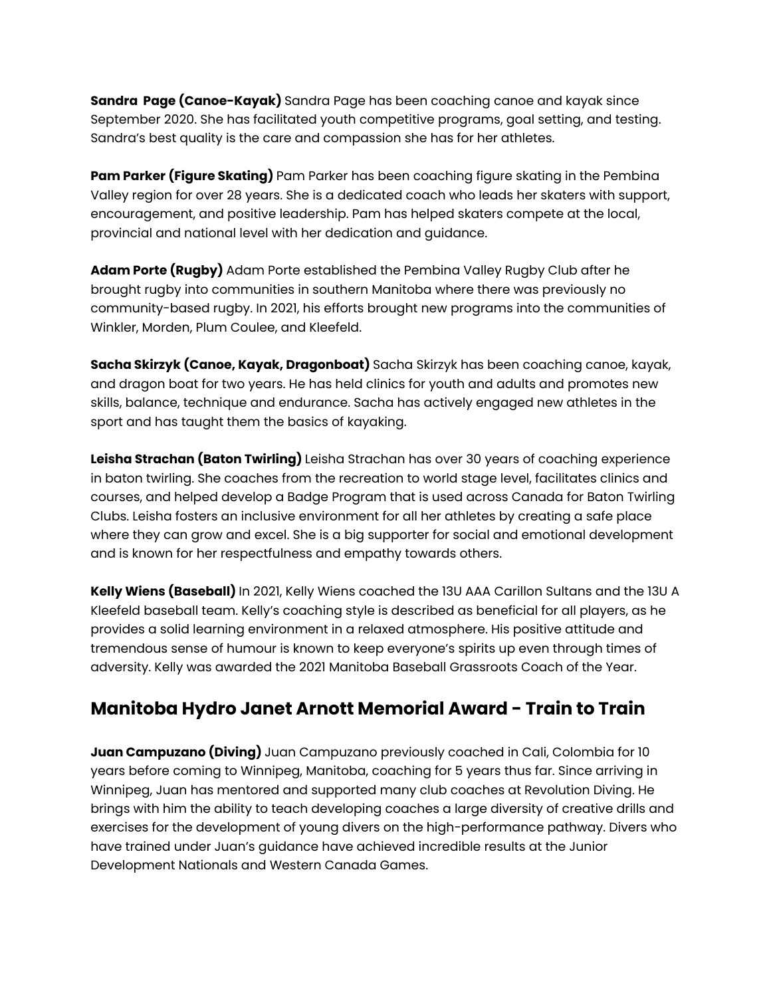**Sandra Page (Canoe-Kayak)** Sandra Page has been coaching canoe and kayak since September 2020. She has facilitated youth competitive programs, goal setting, and testing. Sandra's best quality is the care and compassion she has for her athletes.

**Pam Parker (Figure Skating)** Pam Parker has been coaching figure skating in the Pembina Valley region for over 28 years. She is a dedicated coach who leads her skaters with support, encouragement, and positive leadership. Pam has helped skaters compete at the local, provincial and national level with her dedication and guidance.

**Adam Porte (Rugby)** Adam Porte established the Pembina Valley Rugby Club after he brought rugby into communities in southern Manitoba where there was previously no community-based rugby. In 2021, his efforts brought new programs into the communities of Winkler, Morden, Plum Coulee, and Kleefeld.

**Sacha Skirzyk (Canoe, Kayak, Dragonboat)** Sacha Skirzyk has been coaching canoe, kayak, and dragon boat for two years. He has held clinics for youth and adults and promotes new skills, balance, technique and endurance. Sacha has actively engaged new athletes in the sport and has taught them the basics of kayaking.

**Leisha Strachan (Baton Twirling)** Leisha Strachan has over 30 years of coaching experience in baton twirling. She coaches from the recreation to world stage level, facilitates clinics and courses, and helped develop a Badge Program that is used across Canada for Baton Twirling Clubs. Leisha fosters an inclusive environment for all her athletes by creating a safe place where they can grow and excel. She is a big supporter for social and emotional development and is known for her respectfulness and empathy towards others.

**Kelly Wiens (Baseball)** In 2021, Kelly Wiens coached the 13U AAA Carillon Sultans and the 13U A Kleefeld baseball team. Kelly's coaching style is described as beneficial for all players, as he provides a solid learning environment in a relaxed atmosphere. His positive attitude and tremendous sense of humour is known to keep everyone's spirits up even through times of adversity. Kelly was awarded the 2021 Manitoba Baseball Grassroots Coach of the Year.

# **Manitoba Hydro Janet Arnott Memorial Award - Train to Train**

**Juan Campuzano (Diving)** Juan Campuzano previously coached in Cali, Colombia for 10 years before coming to Winnipeg, Manitoba, coaching for 5 years thus far. Since arriving in Winnipeg, Juan has mentored and supported many club coaches at Revolution Diving. He brings with him the ability to teach developing coaches a large diversity of creative drills and exercises for the development of young divers on the high-performance pathway. Divers who have trained under Juan's guidance have achieved incredible results at the Junior Development Nationals and Western Canada Games.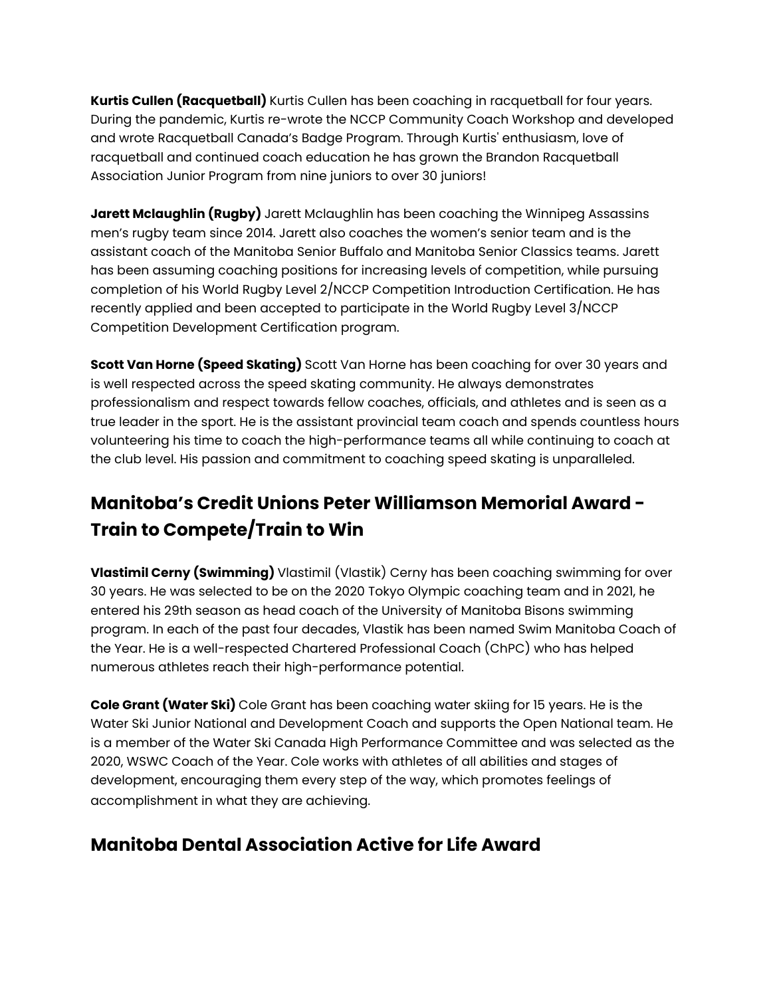**Kurtis Cullen (Racquetball)** Kurtis Cullen has been coaching in racquetball for four years. During the pandemic, Kurtis re-wrote the NCCP Community Coach Workshop and developed and wrote Racquetball Canada's Badge Program. Through Kurtis' enthusiasm, love of racquetball and continued coach education he has grown the Brandon Racquetball Association Junior Program from nine juniors to over 30 juniors!

**Jarett Mclaughlin (Rugby)** Jarett Mclaughlin has been coaching the Winnipeg Assassins men's rugby team since 2014. Jarett also coaches the women's senior team and is the assistant coach of the Manitoba Senior Buffalo and Manitoba Senior Classics teams. Jarett has been assuming coaching positions for increasing levels of competition, while pursuing completion of his World Rugby Level 2/NCCP Competition Introduction Certification. He has recently applied and been accepted to participate in the World Rugby Level 3/NCCP Competition Development Certification program.

**Scott Van Horne (Speed Skating)** Scott Van Horne has been coaching for over 30 years and is well respected across the speed skating community. He always demonstrates professionalism and respect towards fellow coaches, officials, and athletes and is seen as a true leader in the sport. He is the assistant provincial team coach and spends countless hours volunteering his time to coach the high-performance teams all while continuing to coach at the club level. His passion and commitment to coaching speed skating is unparalleled.

# **Manitoba's Credit Unions Peter Williamson Memorial Award - Train to Compete/Train to Win**

**Vlastimil Cerny (Swimming)** Vlastimil (Vlastik) Cerny has been coaching swimming for over 30 years. He was selected to be on the 2020 Tokyo Olympic coaching team and in 2021, he entered his 29th season as head coach of the University of Manitoba Bisons swimming program. In each of the past four decades, Vlastik has been named Swim Manitoba Coach of the Year. He is a well-respected Chartered Professional Coach (ChPC) who has helped numerous athletes reach their high-performance potential.

**Cole Grant (Water Ski)** Cole Grant has been coaching water skiing for 15 years. He is the Water Ski Junior National and Development Coach and supports the Open National team. He is a member of the Water Ski Canada High Performance Committee and was selected as the 2020, WSWC Coach of the Year. Cole works with athletes of all abilities and stages of development, encouraging them every step of the way, which promotes feelings of accomplishment in what they are achieving.

# **Manitoba Dental Association Active for Life Award**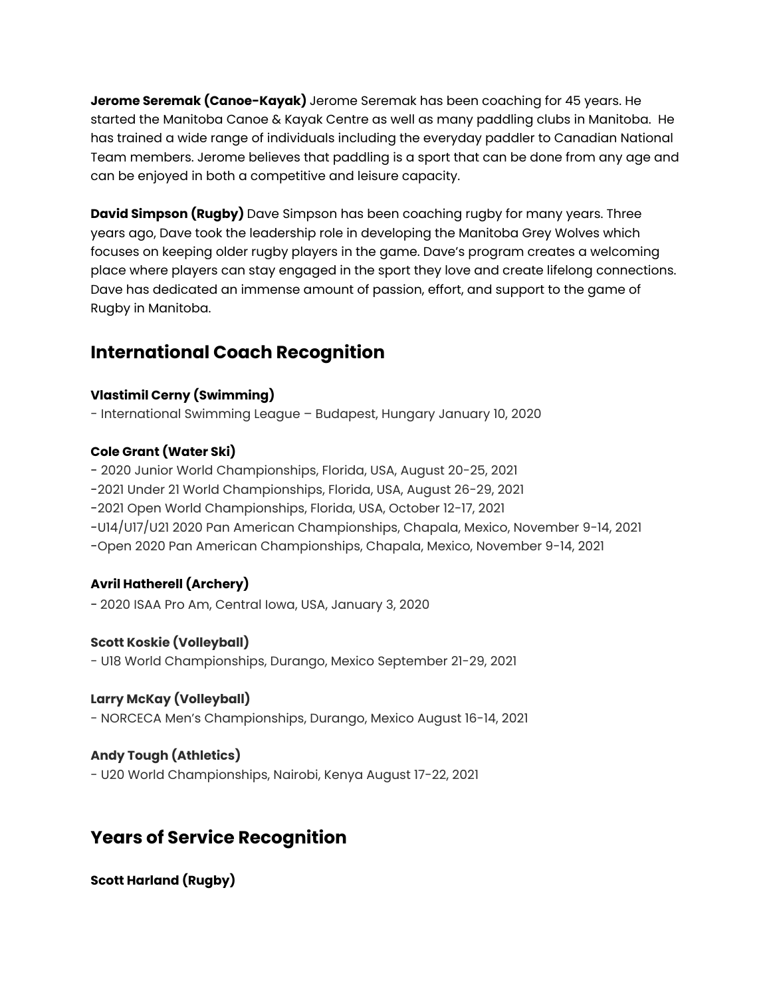**Jerome Seremak (Canoe-Kayak)** Jerome Seremak has been coaching for 45 years. He started the Manitoba Canoe & Kayak Centre as well as many paddling clubs in Manitoba. He has trained a wide range of individuals including the everyday paddler to Canadian National Team members. Jerome believes that paddling is a sport that can be done from any age and can be enjoyed in both a competitive and leisure capacity.

**David Simpson (Rugby)** Dave Simpson has been coaching rugby for many years. Three years ago, Dave took the leadership role in developing the Manitoba Grey Wolves which focuses on keeping older rugby players in the game. Dave's program creates a welcoming place where players can stay engaged in the sport they love and create lifelong connections. Dave has dedicated an immense amount of passion, effort, and support to the game of Rugby in Manitoba.

# **International Coach Recognition**

### **Vlastimil Cerny (Swimming)**

- International Swimming League – Budapest, Hungary January 10, 2020

#### **Cole Grant (Water Ski)**

- 2020 Junior World Championships, Florida, USA, August 20-25, 2021 -2021 Under 21 World Championships, Florida, USA, August 26-29, 2021 -2021 Open World Championships, Florida, USA, October 12-17, 2021 -U14/U17/U21 2020 Pan American Championships, Chapala, Mexico, November 9-14, 2021 -Open 2020 Pan American Championships, Chapala, Mexico, November 9-14, 2021

### **Avril Hatherell (Archery)**

- 2020 ISAA Pro Am, Central Iowa, USA, January 3, 2020

### **Scott Koskie (Volleyball)**

- U18 World Championships, Durango, Mexico September 21-29, 2021

### **Larry McKay (Volleyball)**

- NORCECA Men's Championships, Durango, Mexico August 16-14, 2021

### **Andy Tough (Athletics)**

- U20 World Championships, Nairobi, Kenya August 17-22, 2021

# **Years of Service Recognition**

**Scott Harland (Rugby)**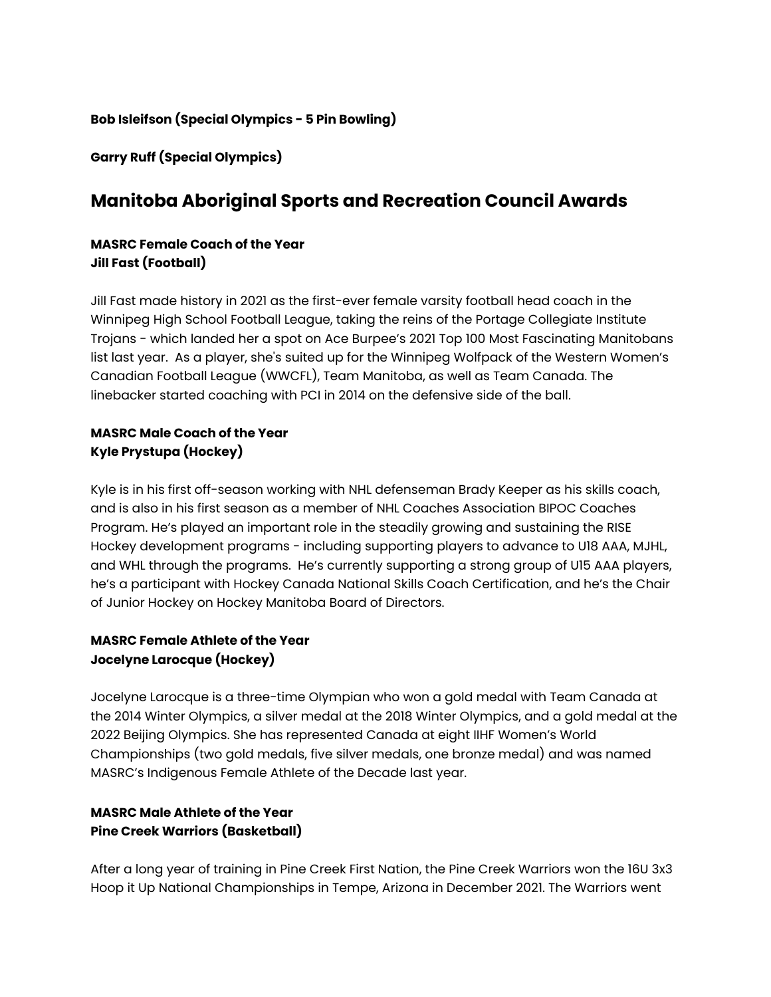#### **Bob Isleifson (Special Olympics - 5 Pin Bowling)**

**Garry Ruff (Special Olympics)**

# **Manitoba Aboriginal Sports and Recreation Council Awards**

### **MASRC Female Coach of the Year Jill Fast (Football)**

Jill Fast made history in 2021 as the first-ever female varsity football head coach in the Winnipeg High School Football League, taking the reins of the Portage Collegiate Institute Trojans - which landed her a spot on Ace Burpee's 2021 Top 100 Most Fascinating Manitobans list last year. As a player, she's suited up for the Winnipeg Wolfpack of the Western Women's Canadian Football League (WWCFL), Team Manitoba, as well as Team Canada. The linebacker started coaching with PCI in 2014 on the defensive side of the ball.

### **MASRC Male Coach of the Year Kyle Prystupa (Hockey)**

Kyle is in his first off-season working with NHL defenseman Brady Keeper as his skills coach, and is also in his first season as a member of NHL Coaches Association BIPOC Coaches Program. He's played an important role in the steadily growing and sustaining the RISE Hockey development programs - including supporting players to advance to U18 AAA, MJHL, and WHL through the programs. He's currently supporting a strong group of U15 AAA players, he's a participant with Hockey Canada National Skills Coach Certification, and he's the Chair of Junior Hockey on Hockey Manitoba Board of Directors.

### **MASRC Female Athlete of the Year Jocelyne Larocque (Hockey)**

Jocelyne Larocque is a three-time Olympian who won a gold medal with Team Canada at the 2014 Winter Olympics, a silver medal at the 2018 Winter Olympics, and a gold medal at the 2022 Beijing Olympics. She has represented Canada at eight IIHF Women's World Championships (two gold medals, five silver medals, one bronze medal) and was named MASRC's Indigenous Female Athlete of the Decade last year.

### **MASRC Male Athlete of the Year Pine Creek Warriors (Basketball)**

After a long year of training in Pine Creek First Nation, the Pine Creek Warriors won the 16U 3x3 Hoop it Up National Championships in Tempe, Arizona in December 2021. The Warriors went